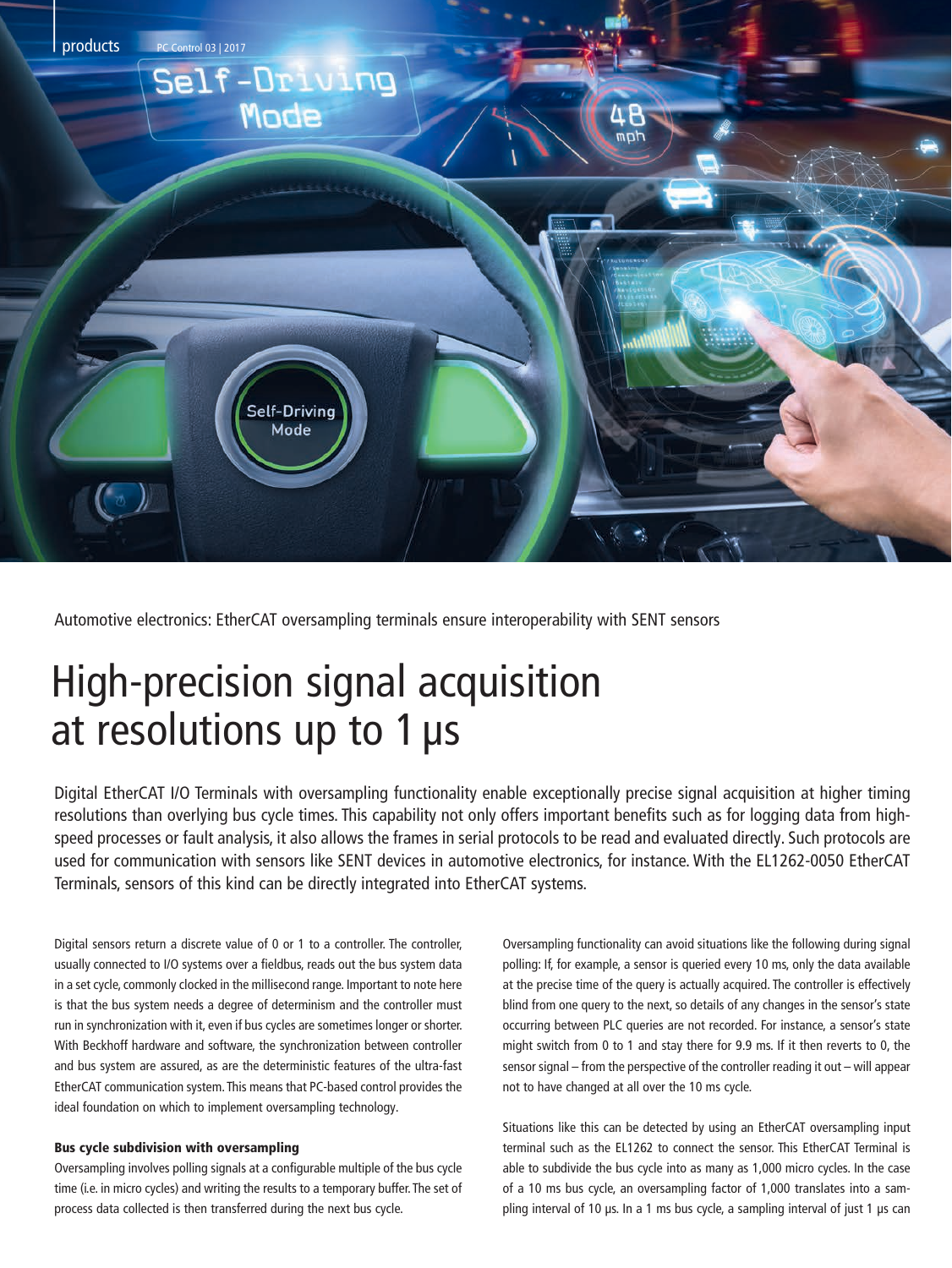

Automotive electronics: EtherCAT oversampling terminals ensure interoperability with SENT sensors

## High-precision signal acquisition at resolutions up to 1 µs

Digital EtherCAT I/O Terminals with oversampling functionality enable exceptionally precise signal acquisition at higher timing resolutions than overlying bus cycle times. This capability not only offers important benefits such as for logging data from highspeed processes or fault analysis, it also allows the frames in serial protocols to be read and evaluated directly. Such protocols are used for communication with sensors like SENT devices in automotive electronics, for instance. With the EL1262-0050 EtherCAT Terminals, sensors of this kind can be directly integrated into EtherCAT systems.

Digital sensors return a discrete value of 0 or 1 to a controller. The controller, usually connected to I/O systems over a fieldbus, reads out the bus system data in a set cycle, commonly clocked in the millisecond range. Important to note here is that the bus system needs a degree of determinism and the controller must run in synchronization with it, even if bus cycles are sometimes longer or shorter. With Beckhoff hardware and software, the synchronization between controller and bus system are assured, as are the deterministic features of the ultra-fast EtherCAT communication system. This means that PC-based control provides the ideal foundation on which to implement oversampling technology.

## Bus cycle subdivision with oversampling

Oversampling involves polling signals at a configurable multiple of the bus cycle time (i.e. in micro cycles) and writing the results to a temporary buffer. The set of process data collected is then transferred during the next bus cycle.

Oversampling functionality can avoid situations like the following during signal polling: If, for example, a sensor is queried every 10 ms, only the data available at the precise time of the query is actually acquired. The controller is effectively blind from one query to the next, so details of any changes in the sensor's state occurring between PLC queries are not recorded. For instance, a sensor's state might switch from 0 to 1 and stay there for 9.9 ms. If it then reverts to 0, the sensor signal – from the perspective of the controller reading it out – will appear not to have changed at all over the 10 ms cycle.

Situations like this can be detected by using an EtherCAT oversampling input terminal such as the EL1262 to connect the sensor. This EtherCAT Terminal is able to subdivide the bus cycle into as many as 1,000 micro cycles. In the case of a 10 ms bus cycle, an oversampling factor of 1,000 translates into a sampling interval of 10 µs. In a 1 ms bus cycle, a sampling interval of just 1 µs can